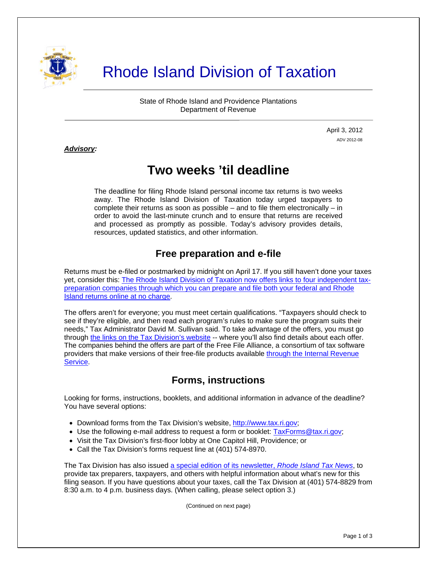

# Rhode Island Division of Taxation

State of Rhode Island and Providence Plantations Department of Revenue

> April 3, 2012 ADV 2012-08

#### *Advisory:*

j

## **Two weeks 'til deadline**

The deadline for filing Rhode Island personal income tax returns is two weeks away. The Rhode Island Division of Taxation today urged taxpayers to complete their returns as soon as possible – and to file them electronically – in order to avoid the last-minute crunch and to ensure that returns are received and processed as promptly as possible. Today's advisory provides details, resources, updated statistics, and other information.

### **Free preparation and e-file**

Returns must be e-filed or postmarked by midnight on April 17. If you still haven't done your taxes yet, consider this: [The Rhode Island Division of Taxation now offers links to four independent tax](http://www.tax.ri.gov/misc/efile.php)[preparation companies through which you can prepare and file both your federal and Rhode](http://www.tax.ri.gov/misc/efile.php)  [Island returns online at no charge](http://www.tax.ri.gov/misc/efile.php).

The offers aren't for everyone; you must meet certain qualifications. "Taxpayers should check to see if they're eligible, and then read each program's rules to make sure the program suits their needs," Tax Administrator David M. Sullivan said. To take advantage of the offers, you must go through [the links on the Tax Division's website](http://www.tax.ri.gov/misc/efile.php) -- where you'll also find details about each offer. The companies behind the offers are part of the Free File Alliance, a consortium of tax software providers that make versions of their free-file products available [through the Internal Revenue](http://www.irs.gov/newsroom/article/0,,id=252506,00.html)  [Service](http://www.irs.gov/newsroom/article/0,,id=252506,00.html).

#### **Forms, instructions**

Looking for forms, instructions, booklets, and additional information in advance of the deadline? You have several options:

- Download forms from the Tax Division's website, [http://www.tax.ri.gov;](http://www.tax.ri.gov/)
- Use the following e-mail address to request a form or booklet: **TaxForms@tax.ri.gov**;
- Visit the Tax Division's first-floor lobby at One Capitol Hill, Providence: or
- Call the Tax Division's forms request line at (401) 574-8970.

The Tax Division has also issued [a special edition of its newsletter,](http://www.tax.ri.gov/newsletter/Rhode%20Island%20Division%20of%20Taxation%20Newsletter%20-%20Special%20Edition%20.pdf) *Rhode Island Tax News*, to provide tax preparers, taxpayers, and others with helpful information about what's new for this filing season. If you have questions about your taxes, call the Tax Division at (401) 574-8829 from 8:30 a.m. to 4 p.m. business days. (When calling, please select option 3.)

(Continued on next page)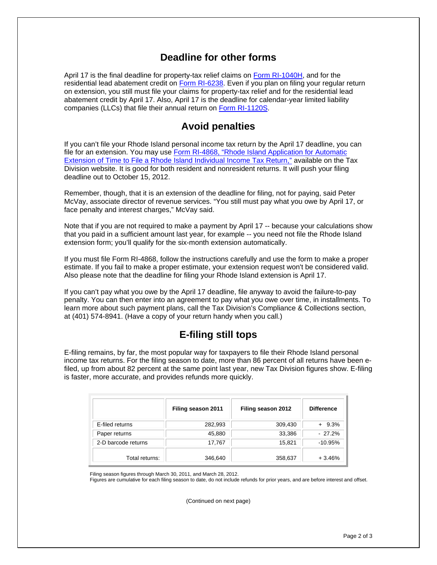#### **Deadline for other forms**

April 17 is the final deadline for property-tax relief claims on [Form RI-1040H](http://www.tax.ri.gov/forms/2011/Income/2011%201040H.pdf), and for the residential lead abatement credit on [Form RI-6238.](http://www.tax.ri.gov/forms/2011/Credits/2011%20Lead%20Paint%20Credit.pdf) Even if you plan on filing your regular return on extension, you still must file your claims for property-tax relief and for the residential lead abatement credit by April 17. Also, April 17 is the deadline for calendar-year limited liability companies (LLCs) that file their annual return on [Form RI-1120S](http://www.tax.ri.gov/forms/2011/Corp/2011%201120S.pdf).

#### **Avoid penalties**

If you can't file your Rhode Island personal income tax return by the April 17 deadline, you can file for an extension. You may use [Form RI-4868, "Rhode Island Application for Automatic](http://www.tax.ri.gov/forms/2011/Income/2011%20RI-4868.pdf)  [Extension of Time to File a Rhode Island Individual Income Tax Return,"](http://www.tax.ri.gov/forms/2011/Income/2011%20RI-4868.pdf) available on the Tax Division website. It is good for both resident and nonresident returns. It will push your filing deadline out to October 15, 2012.

Remember, though, that it is an extension of the deadline for filing, not for paying, said Peter McVay, associate director of revenue services. "You still must pay what you owe by April 17, or face penalty and interest charges," McVay said.

Note that if you are not required to make a payment by April 17 -- because your calculations show that you paid in a sufficient amount last year, for example -- you need not file the Rhode Island extension form; you'll qualify for the six-month extension automatically.

If you must file Form RI-4868, follow the instructions carefully and use the form to make a proper estimate. If you fail to make a proper estimate, your extension request won't be considered valid. Also please note that the deadline for filing your Rhode Island extension is April 17.

If you can't pay what you owe by the April 17 deadline, file anyway to avoid the failure-to-pay penalty. You can then enter into an agreement to pay what you owe over time, in installments. To learn more about such payment plans, call the Tax Division's Compliance & Collections section, at (401) 574-8941. (Have a copy of your return handy when you call.)

#### **E-filing still tops**

E-filing remains, by far, the most popular way for taxpayers to file their Rhode Island personal income tax returns. For the filing season to date, more than 86 percent of all returns have been efiled, up from about 82 percent at the same point last year, new Tax Division figures show. E-filing is faster, more accurate, and provides refunds more quickly.

|                     | Filing season 2011 | Filing season 2012 | <b>Difference</b> |
|---------------------|--------------------|--------------------|-------------------|
| E-filed returns     | 282,993            | 309,430            | $+9.3\%$          |
| Paper returns       | 45,880             | 33,386             | $-27.2%$          |
| 2-D barcode returns | 17,767             | 15,821             | $-10.95%$         |
| Total returns:      | 346,640            | 358,637            | $+3.46%$          |

Filing season figures through March 30, 2011, and March 28, 2012.

Figures are cumulative for each filing season to date, do not include refunds for prior years, and are before interest and offset.

(Continued on next page)